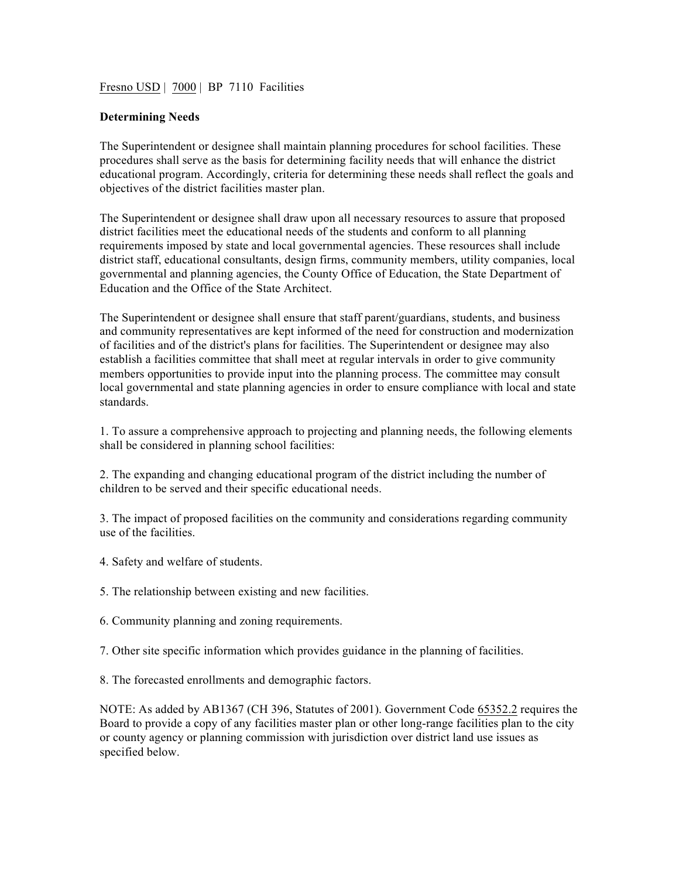Fresno USD | 7000 | BP 7110 Facilities

## **Determining Needs**

The Superintendent or designee shall maintain planning procedures for school facilities. These procedures shall serve as the basis for determining facility needs that will enhance the district educational program. Accordingly, criteria for determining these needs shall reflect the goals and objectives of the district facilities master plan.

The Superintendent or designee shall draw upon all necessary resources to assure that proposed district facilities meet the educational needs of the students and conform to all planning requirements imposed by state and local governmental agencies. These resources shall include district staff, educational consultants, design firms, community members, utility companies, local governmental and planning agencies, the County Office of Education, the State Department of Education and the Office of the State Architect.

The Superintendent or designee shall ensure that staff parent/guardians, students, and business and community representatives are kept informed of the need for construction and modernization of facilities and of the district's plans for facilities. The Superintendent or designee may also establish a facilities committee that shall meet at regular intervals in order to give community members opportunities to provide input into the planning process. The committee may consult local governmental and state planning agencies in order to ensure compliance with local and state standards.

1. To assure a comprehensive approach to projecting and planning needs, the following elements shall be considered in planning school facilities:

2. The expanding and changing educational program of the district including the number of children to be served and their specific educational needs.

3. The impact of proposed facilities on the community and considerations regarding community use of the facilities.

- 4. Safety and welfare of students.
- 5. The relationship between existing and new facilities.
- 6. Community planning and zoning requirements.
- 7. Other site specific information which provides guidance in the planning of facilities.

8. The forecasted enrollments and demographic factors.

NOTE: As added by AB1367 (CH 396, Statutes of 2001). Government Code 65352.2 requires the Board to provide a copy of any facilities master plan or other long-range facilities plan to the city or county agency or planning commission with jurisdiction over district land use issues as specified below.